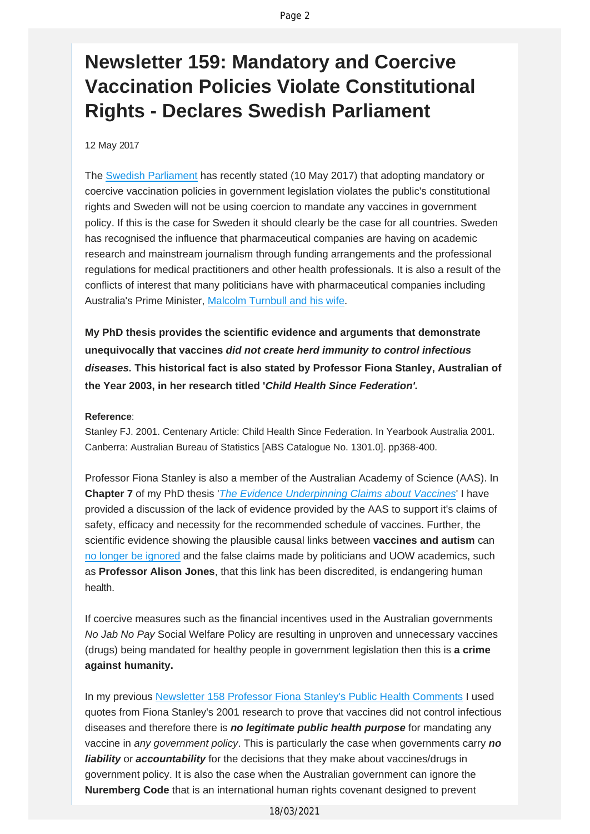## **Newsletter 159: Mandatory and Coercive Vaccination Policies Violate Constitutional Rights - Declares Swedish Parliament**

12 May 2017

The [Swedish Parliament](http://vaccinationdecisions.us8.list-manage1.com/track/click?u=f20605fde3732e41929f4a3f2&id=0390111348&e=fec8337d3c) has recently stated (10 May 2017) that adopting mandatory or coercive vaccination policies in government legislation violates the public's constitutional rights and Sweden will not be using coercion to mandate any vaccines in government policy. If this is the case for Sweden it should clearly be the case for all countries. Sweden has recognised the influence that pharmaceutical companies are having on academic research and mainstream journalism through funding arrangements and the professional regulations for medical practitioners and other health professionals. It is also a result of the conflicts of interest that many politicians have with pharmaceutical companies including Australia's Prime Minister, [Malcolm Turnbull and his wife](http://vaccinationdecisions.us8.list-manage.com/track/click?u=f20605fde3732e41929f4a3f2&id=0a1fb2a30e&e=fec8337d3c).

**My PhD thesis provides the scientific evidence and arguments that demonstrate unequivocally that vaccines** *did not create herd immunity to control infectious diseases.* **This historical fact is also stated by Professor Fiona Stanley, Australian of the Year 2003, in her research titled '***Child Health Since Federation'.*

## **Reference**:

Stanley FJ. 2001. Centenary Article: Child Health Since Federation. In Yearbook Australia 2001. Canberra: Australian Bureau of Statistics [ABS Catalogue No. 1301.0]. pp368-400.

Professor Fiona Stanley is also a member of the Australian Academy of Science (AAS). In **Chapter 7** of my PhD thesis '*[The Evidence Underpinning Claims about Vaccines](http://vaccinationdecisions.us8.list-manage.com/track/click?u=f20605fde3732e41929f4a3f2&id=a7d0ee74cb&e=fec8337d3c)*' I have provided a discussion of the lack of evidence provided by the AAS to support it's claims of safety, efficacy and necessity for the recommended schedule of vaccines. Further, the scientific evidence showing the plausible causal links between **vaccines and autism** can [no longer be ignored](http://vaccinationdecisions.us8.list-manage.com/track/click?u=f20605fde3732e41929f4a3f2&id=4c83068753&e=fec8337d3c) and the false claims made by politicians and UOW academics, such as **Professor Alison Jones**, that this link has been discredited, is endangering human health.

If coercive measures such as the financial incentives used in the Australian governments *No Jab No Pay* Social Welfare Policy are resulting in unproven and unnecessary vaccines (drugs) being mandated for healthy people in government legislation then this is **a crime against humanity.** 

In my previous [Newsletter 158 Professor Fiona Stanley's Public Health Comments](http://vaccinationdecisions.us8.list-manage1.com/track/click?u=f20605fde3732e41929f4a3f2&id=d4f68537fc&e=fec8337d3c) I used quotes from Fiona Stanley's 2001 research to prove that vaccines did not control infectious diseases and therefore there is *no legitimate public health purpose* for mandating any vaccine in *any government policy*. This is particularly the case when governments carry *no liability* or *accountability* for the decisions that they make about vaccines/drugs in government policy. It is also the case when the Australian government can ignore the **Nuremberg Code** that is an international human rights covenant designed to prevent

18/03/2021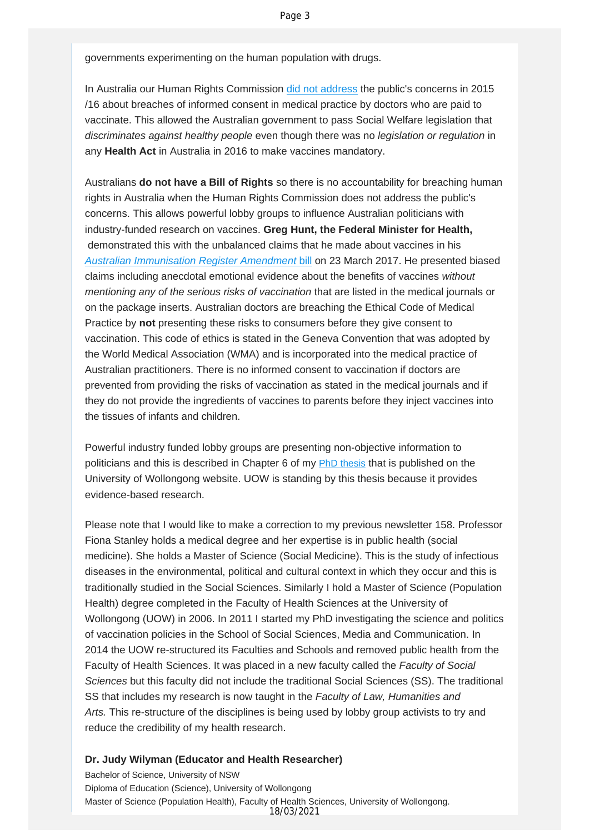governments experimenting on the human population with drugs.

In Australia our Human Rights Commission [did not address](http://vaccinationdecisions.us8.list-manage.com/track/click?u=f20605fde3732e41929f4a3f2&id=86f27c41ec&e=fec8337d3c) the public's concerns in 2015 /16 about breaches of informed consent in medical practice by doctors who are paid to vaccinate. This allowed the Australian government to pass Social Welfare legislation that *discriminates against healthy people* even though there was no *legislation or regulation* in any **Health Act** in Australia in 2016 to make vaccines mandatory.

Australians **do not have a Bill of Rights** so there is no accountability for breaching human rights in Australia when the Human Rights Commission does not address the public's concerns. This allows powerful lobby groups to influence Australian politicians with industry-funded research on vaccines. **Greg Hunt, the Federal Minister for Health,** demonstrated this with the unbalanced claims that he made about vaccines in his *[Australian Immunisation Register Amendment](http://vaccinationdecisions.us8.list-manage.com/track/click?u=f20605fde3732e41929f4a3f2&id=d37e1bb918&e=fec8337d3c)* bill on 23 March 2017. He presented biased claims including anecdotal emotional evidence about the benefits of vaccines *without mentioning any of the serious risks of vaccination* that are listed in the medical journals or on the package inserts. Australian doctors are breaching the Ethical Code of Medical Practice by **not** presenting these risks to consumers before they give consent to vaccination. This code of ethics is stated in the Geneva Convention that was adopted by the World Medical Association (WMA) and is incorporated into the medical practice of Australian practitioners. There is no informed consent to vaccination if doctors are prevented from providing the risks of vaccination as stated in the medical journals and if they do not provide the ingredients of vaccines to parents before they inject vaccines into the tissues of infants and children.

Powerful industry funded lobby groups are presenting non-objective information to politicians and this is described in Chapter 6 of my [PhD thesis](http://vaccinationdecisions.us8.list-manage1.com/track/click?u=f20605fde3732e41929f4a3f2&id=2a4a8bc33c&e=fec8337d3c) that is published on the University of Wollongong website. UOW is standing by this thesis because it provides evidence-based research.

Please note that I would like to make a correction to my previous newsletter 158. Professor Fiona Stanley holds a medical degree and her expertise is in public health (social medicine). She holds a Master of Science (Social Medicine). This is the study of infectious diseases in the environmental, political and cultural context in which they occur and this is traditionally studied in the Social Sciences. Similarly I hold a Master of Science (Population Health) degree completed in the Faculty of Health Sciences at the University of Wollongong (UOW) in 2006. In 2011 I started my PhD investigating the science and politics of vaccination policies in the School of Social Sciences, Media and Communication. In 2014 the UOW re-structured its Faculties and Schools and removed public health from the Faculty of Health Sciences. It was placed in a new faculty called the *Faculty of Social Sciences* but this faculty did not include the traditional Social Sciences (SS). The traditional SS that includes my research is now taught in the *Faculty of Law, Humanities and Arts.* This re-structure of the disciplines is being used by lobby group activists to try and reduce the credibility of my health research.

## **Dr. Judy Wilyman (Educator and Health Researcher)**

Bachelor of Science, University of NSW Diploma of Education (Science), University of Wollongong Master of Science (Population Health), Faculty of Health Sciences, University of Wollongong. 18/03/2021